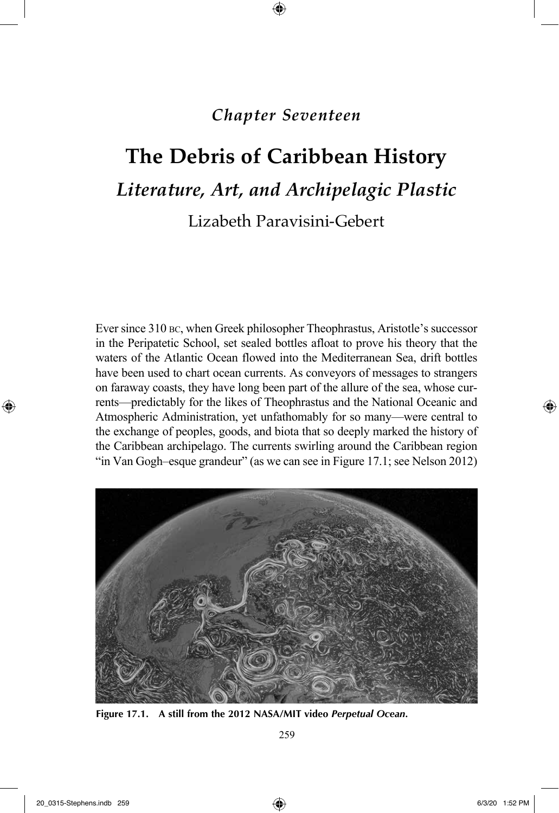# *Chapter Seventeen*

# **The Debris of Caribbean History** *Literature, Art, and Archipelagic Plastic*

Lizabeth Paravisini-Gebert

Ever since 310 bc, when Greek philosopher Theophrastus, Aristotle's successor in the Peripatetic School, set sealed bottles afloat to prove his theory that the waters of the Atlantic Ocean flowed into the Mediterranean Sea, drift bottles have been used to chart ocean currents. As conveyors of messages to strangers on faraway coasts, they have long been part of the allure of the sea, whose currents—predictably for the likes of Theophrastus and the National Oceanic and Atmospheric Administration, yet unfathomably for so many—were central to the exchange of peoples, goods, and biota that so deeply marked the history of the Caribbean archipelago. The currents swirling around the Caribbean region "in Van Gogh–esque grandeur" (as we can see in Figure 17.1; see Nelson 2012)



**Figure 17.1. A still from the 2012 NASA/MIT video** *Perpetual Ocean***.**

259

⊕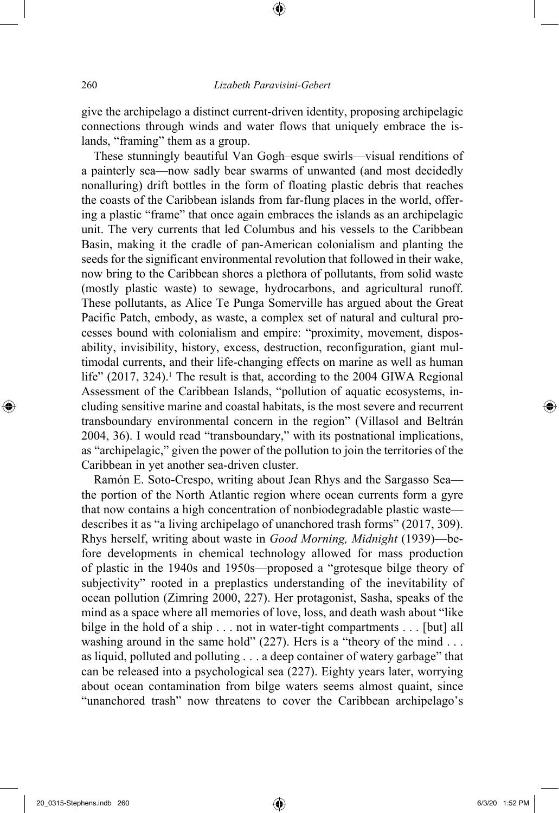give the archipelago a distinct current-driven identity, proposing archipelagic connections through winds and water flows that uniquely embrace the islands, "framing" them as a group.

These stunningly beautiful Van Gogh–esque swirls—visual renditions of a painterly sea—now sadly bear swarms of unwanted (and most decidedly nonalluring) drift bottles in the form of floating plastic debris that reaches the coasts of the Caribbean islands from far-flung places in the world, offering a plastic "frame" that once again embraces the islands as an archipelagic unit. The very currents that led Columbus and his vessels to the Caribbean Basin, making it the cradle of pan-American colonialism and planting the seeds for the significant environmental revolution that followed in their wake, now bring to the Caribbean shores a plethora of pollutants, from solid waste (mostly plastic waste) to sewage, hydrocarbons, and agricultural runoff. These pollutants, as Alice Te Punga Somerville has argued about the Great Pacific Patch, embody, as waste, a complex set of natural and cultural processes bound with colonialism and empire: "proximity, movement, disposability, invisibility, history, excess, destruction, reconfiguration, giant multimodal currents, and their life-changing effects on marine as well as human life" (2017, 324).<sup>1</sup> The result is that, according to the 2004 GIWA Regional Assessment of the Caribbean Islands, "pollution of aquatic ecosystems, including sensitive marine and coastal habitats, is the most severe and recurrent transboundary environmental concern in the region" (Villasol and Beltrán 2004, 36). I would read "transboundary," with its postnational implications, as "archipelagic," given the power of the pollution to join the territories of the Caribbean in yet another sea-driven cluster.

Ramón E. Soto-Crespo, writing about Jean Rhys and the Sargasso Sea the portion of the North Atlantic region where ocean currents form a gyre that now contains a high concentration of nonbiodegradable plastic waste describes it as "a living archipelago of unanchored trash forms" (2017, 309). Rhys herself, writing about waste in *Good Morning, Midnight* (1939)—before developments in chemical technology allowed for mass production of plastic in the 1940s and 1950s—proposed a "grotesque bilge theory of subjectivity" rooted in a preplastics understanding of the inevitability of ocean pollution (Zimring 2000, 227). Her protagonist, Sasha, speaks of the mind as a space where all memories of love, loss, and death wash about "like bilge in the hold of a ship . . . not in water-tight compartments . . . [but] all washing around in the same hold"  $(227)$ . Hers is a "theory of the mind ... as liquid, polluted and polluting . . . a deep container of watery garbage" that can be released into a psychological sea (227). Eighty years later, worrying about ocean contamination from bilge waters seems almost quaint, since "unanchored trash" now threatens to cover the Caribbean archipelago's

⊕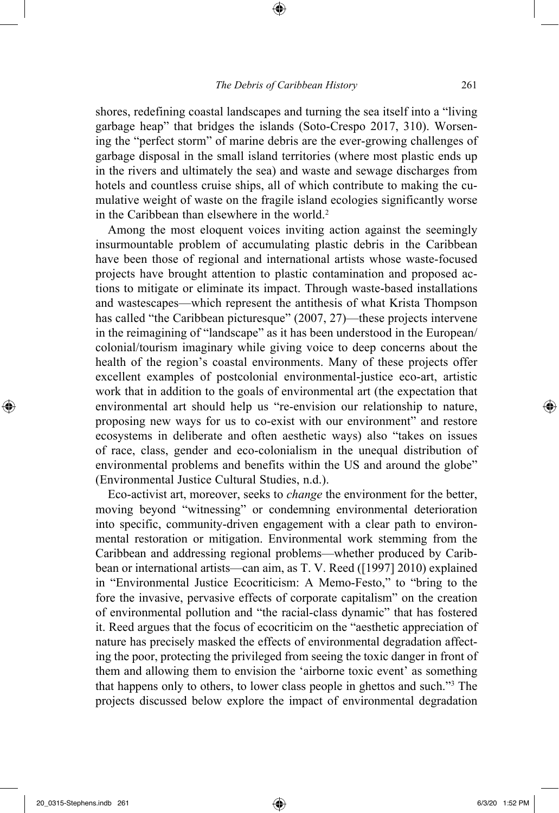shores, redefining coastal landscapes and turning the sea itself into a "living garbage heap" that bridges the islands (Soto-Crespo 2017, 310). Worsening the "perfect storm" of marine debris are the ever-growing challenges of garbage disposal in the small island territories (where most plastic ends up in the rivers and ultimately the sea) and waste and sewage discharges from hotels and countless cruise ships, all of which contribute to making the cumulative weight of waste on the fragile island ecologies significantly worse in the Caribbean than elsewhere in the world.<sup>2</sup>

Among the most eloquent voices inviting action against the seemingly insurmountable problem of accumulating plastic debris in the Caribbean have been those of regional and international artists whose waste-focused projects have brought attention to plastic contamination and proposed actions to mitigate or eliminate its impact. Through waste-based installations and wastescapes—which represent the antithesis of what Krista Thompson has called "the Caribbean picturesque" (2007, 27)—these projects intervene in the reimagining of "landscape" as it has been understood in the European/ colonial/tourism imaginary while giving voice to deep concerns about the health of the region's coastal environments. Many of these projects offer excellent examples of postcolonial environmental-justice eco-art, artistic work that in addition to the goals of environmental art (the expectation that environmental art should help us "re-envision our relationship to nature, proposing new ways for us to co-exist with our environment" and restore ecosystems in deliberate and often aesthetic ways) also "takes on issues of race, class, gender and eco-colonialism in the unequal distribution of environmental problems and benefits within the US and around the globe" (Environmental Justice Cultural Studies, n.d.).

Eco-activist art, moreover, seeks to *change* the environment for the better, moving beyond "witnessing" or condemning environmental deterioration into specific, community-driven engagement with a clear path to environmental restoration or mitigation. Environmental work stemming from the Caribbean and addressing regional problems—whether produced by Caribbean or international artists—can aim, as T. V. Reed ([1997] 2010) explained in "Environmental Justice Ecocriticism: A Memo-Festo," to "bring to the fore the invasive, pervasive effects of corporate capitalism" on the creation of environmental pollution and "the racial-class dynamic" that has fostered it. Reed argues that the focus of ecocriticim on the "aesthetic appreciation of nature has precisely masked the effects of environmental degradation affecting the poor, protecting the privileged from seeing the toxic danger in front of them and allowing them to envision the 'airborne toxic event' as something that happens only to others, to lower class people in ghettos and such."3 The projects discussed below explore the impact of environmental degradation

⊕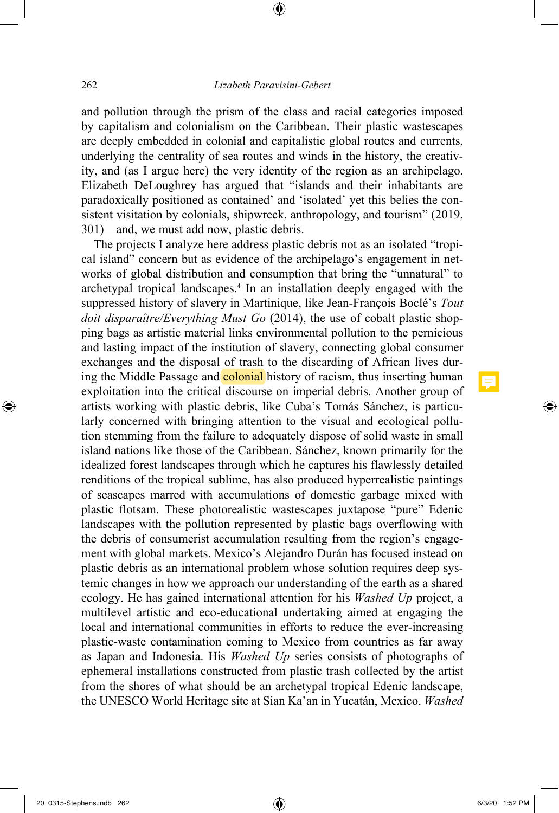and pollution through the prism of the class and racial categories imposed by capitalism and colonialism on the Caribbean. Their plastic wastescapes are deeply embedded in colonial and capitalistic global routes and currents, underlying the centrality of sea routes and winds in the history, the creativity, and (as I argue here) the very identity of the region as an archipelago. Elizabeth DeLoughrey has argued that "islands and their inhabitants are paradoxically positioned as contained' and 'isolated' yet this belies the consistent visitation by colonials, shipwreck, anthropology, and tourism" (2019, 301)—and, we must add now, plastic debris.

The projects I analyze here address plastic debris not as an isolated "tropical island" concern but as evidence of the archipelago's engagement in networks of global distribution and consumption that bring the "unnatural" to archetypal tropical landscapes.4 In an installation deeply engaged with the suppressed history of slavery in Martinique, like Jean-François Boclé's *Tout doit disparaître/Everything Must Go* (2014), the use of cobalt plastic shopping bags as artistic material links environmental pollution to the pernicious and lasting impact of the institution of slavery, connecting global consumer exchanges and the disposal of trash to the discarding of African lives during the Middle Passage and **colonial** history of racism, thus inserting human exploitation into the critical discourse on imperial debris. Another group of artists working with plastic debris, like Cuba's Tomás Sánchez, is particularly concerned with bringing attention to the visual and ecological pollution stemming from the failure to adequately dispose of solid waste in small island nations like those of the Caribbean. Sánchez, known primarily for the idealized forest landscapes through which he captures his flawlessly detailed renditions of the tropical sublime, has also produced hyperrealistic paintings of seascapes marred with accumulations of domestic garbage mixed with plastic flotsam. These photorealistic wastescapes juxtapose "pure" Edenic landscapes with the pollution represented by plastic bags overflowing with the debris of consumerist accumulation resulting from the region's engagement with global markets. Mexico's Alejandro Durán has focused instead on plastic debris as an international problem whose solution requires deep systemic changes in how we approach our understanding of the earth as a shared ecology. He has gained international attention for his *Washed Up* project, a multilevel artistic and eco-educational undertaking aimed at engaging the local and international communities in efforts to reduce the ever-increasing plastic-waste contamination coming to Mexico from countries as far away as Japan and Indonesia. His *Washed Up* series consists of photographs of ephemeral installations constructed from plastic trash collected by the artist from the shores of what should be an archetypal tropical Edenic landscape, the UNESCO World Heritage site at Sian Ka'an in Yucatán, Mexico. *Washed* 

⊕

E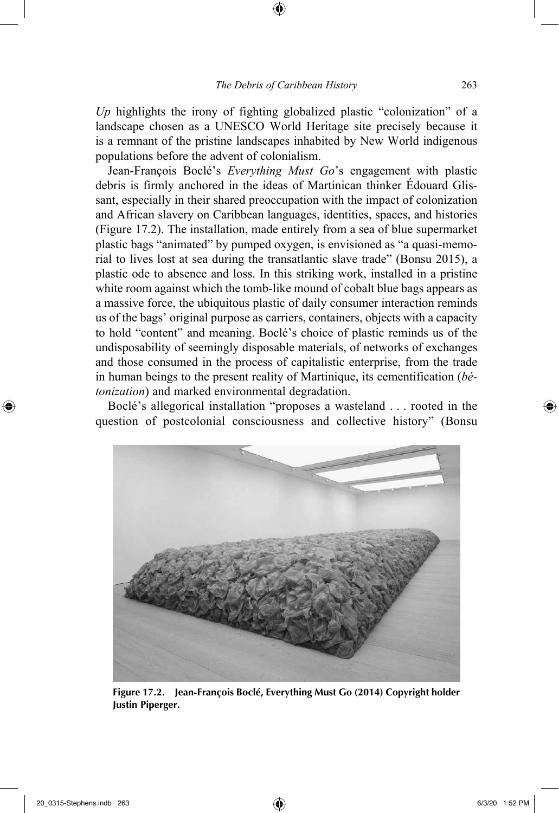*Up* highlights the irony of fighting globalized plastic "colonization" of a landscape chosen as a UNESCO World Heritage site precisely because it is a remnant of the pristine landscapes inhabited by New World indigenous populations before the advent of colonialism.

Jean-François Boclé's *Everything Must Go*'s engagement with plastic debris is firmly anchored in the ideas of Martinican thinker Édouard Glissant, especially in their shared preoccupation with the impact of colonization and African slavery on Caribbean languages, identities, spaces, and histories (Figure 17.2). The installation, made entirely from a sea of blue supermarket plastic bags "animated" by pumped oxygen, is envisioned as "a quasi-memorial to lives lost at sea during the transatlantic slave trade" (Bonsu 2015), a plastic ode to absence and loss. In this striking work, installed in a pristine white room against which the tomb-like mound of cobalt blue bags appears as a massive force, the ubiquitous plastic of daily consumer interaction reminds us of the bags' original purpose as carriers, containers, objects with a capacity to hold "content" and meaning. Boclé's choice of plastic reminds us of the undisposability of seemingly disposable materials, of networks of exchanges and those consumed in the process of capitalistic enterprise, from the trade in human beings to the present reality of Martinique, its cementification (*bétonization*) and marked environmental degradation.

Boclé's allegorical installation "proposes a wasteland . . . rooted in the question of postcolonial consciousness and collective history" (Bonsu



**Figure 17.2. Jean-François Boclé, Everything Must Go (2014) Copyright holder Justin Piperger.**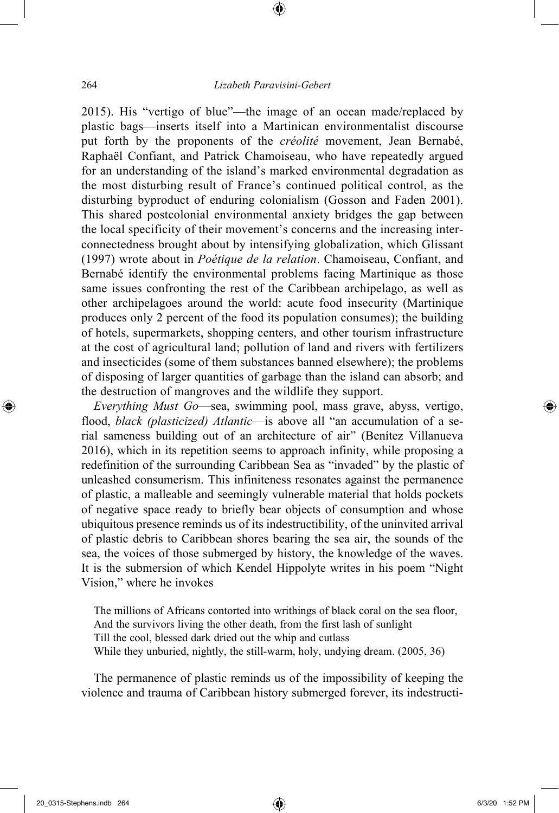2015). His "vertigo of blue"—the image of an ocean made/replaced by plastic bags—inserts itself into a Martinican environmentalist discourse put forth by the proponents of the *créolité* movement, Jean Bernabé, Raphaël Confiant, and Patrick Chamoiseau, who have repeatedly argued for an understanding of the island's marked environmental degradation as the most disturbing result of France's continued political control, as the disturbing byproduct of enduring colonialism (Gosson and Faden 2001). This shared postcolonial environmental anxiety bridges the gap between the local specificity of their movement's concerns and the increasing interconnectedness brought about by intensifying globalization, which Glissant (1997) wrote about in *Poétique de la relation*. Chamoiseau, Confiant, and Bernabé identify the environmental problems facing Martinique as those same issues confronting the rest of the Caribbean archipelago, as well as other archipelagoes around the world: acute food insecurity (Martinique produces only 2 percent of the food its population consumes); the building of hotels, supermarkets, shopping centers, and other tourism infrastructure at the cost of agricultural land; pollution of land and rivers with fertilizers and insecticides (some of them substances banned elsewhere); the problems of disposing of larger quantities of garbage than the island can absorb; and the destruction of mangroves and the wildlife they support.

*Everything Must Go*—sea, swimming pool, mass grave, abyss, vertigo, flood, *black (plasticized) Atlantic*—is above all "an accumulation of a serial sameness building out of an architecture of air" (Benítez Villanueva 2016), which in its repetition seems to approach infinity, while proposing a redefinition of the surrounding Caribbean Sea as "invaded" by the plastic of unleashed consumerism. This infiniteness resonates against the permanence of plastic, a malleable and seemingly vulnerable material that holds pockets of negative space ready to briefly bear objects of consumption and whose ubiquitous presence reminds us of its indestructibility, of the uninvited arrival of plastic debris to Caribbean shores bearing the sea air, the sounds of the sea, the voices of those submerged by history, the knowledge of the waves. It is the submersion of which Kendel Hippolyte writes in his poem "Night Vision," where he invokes

The millions of Africans contorted into writhings of black coral on the sea floor, And the survivors living the other death, from the first lash of sunlight Till the cool, blessed dark dried out the whip and cutlass While they unburied, nightly, the still-warm, holy, undying dream. (2005, 36)

The permanence of plastic reminds us of the impossibility of keeping the violence and trauma of Caribbean history submerged forever, its indestructi-

⊕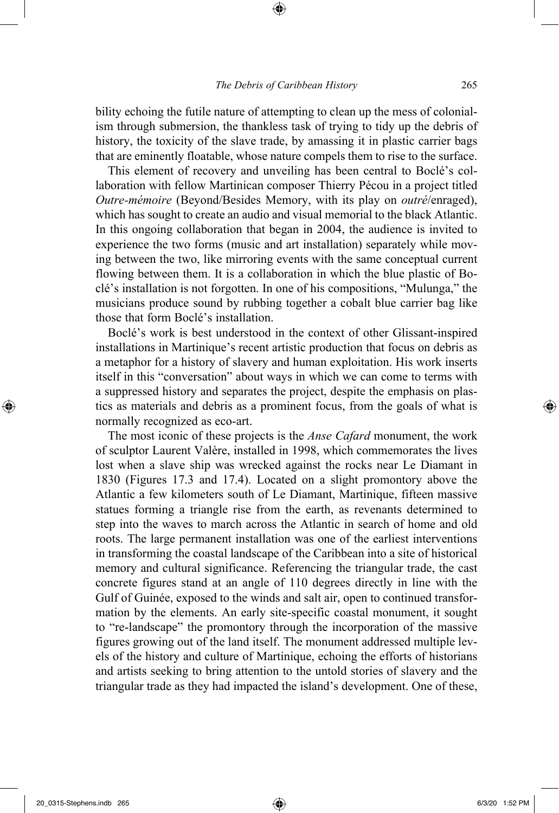#### *The Debris of Caribbean History* 265

⊕

bility echoing the futile nature of attempting to clean up the mess of colonialism through submersion, the thankless task of trying to tidy up the debris of history, the toxicity of the slave trade, by amassing it in plastic carrier bags that are eminently floatable, whose nature compels them to rise to the surface.

This element of recovery and unveiling has been central to Boclé's collaboration with fellow Martinican composer Thierry Pécou in a project titled *Outre-mémoire* (Beyond/Besides Memory, with its play on *outré*/enraged), which has sought to create an audio and visual memorial to the black Atlantic. In this ongoing collaboration that began in 2004, the audience is invited to experience the two forms (music and art installation) separately while moving between the two, like mirroring events with the same conceptual current flowing between them. It is a collaboration in which the blue plastic of Boclé's installation is not forgotten. In one of his compositions, "Mulunga," the musicians produce sound by rubbing together a cobalt blue carrier bag like those that form Boclé's installation.

Boclé's work is best understood in the context of other Glissant-inspired installations in Martinique's recent artistic production that focus on debris as a metaphor for a history of slavery and human exploitation. His work inserts itself in this "conversation" about ways in which we can come to terms with a suppressed history and separates the project, despite the emphasis on plastics as materials and debris as a prominent focus, from the goals of what is normally recognized as eco-art.

The most iconic of these projects is the *Anse Cafard* monument, the work of sculptor Laurent Valère, installed in 1998, which commemorates the lives lost when a slave ship was wrecked against the rocks near Le Diamant in 1830 (Figures 17.3 and 17.4). Located on a slight promontory above the Atlantic a few kilometers south of Le Diamant, Martinique, fifteen massive statues forming a triangle rise from the earth, as revenants determined to step into the waves to march across the Atlantic in search of home and old roots. The large permanent installation was one of the earliest interventions in transforming the coastal landscape of the Caribbean into a site of historical memory and cultural significance. Referencing the triangular trade, the cast concrete figures stand at an angle of 110 degrees directly in line with the Gulf of Guinée, exposed to the winds and salt air, open to continued transformation by the elements. An early site-specific coastal monument, it sought to "re-landscape" the promontory through the incorporation of the massive figures growing out of the land itself. The monument addressed multiple levels of the history and culture of Martinique, echoing the efforts of historians and artists seeking to bring attention to the untold stories of slavery and the triangular trade as they had impacted the island's development. One of these,

 $\bigoplus$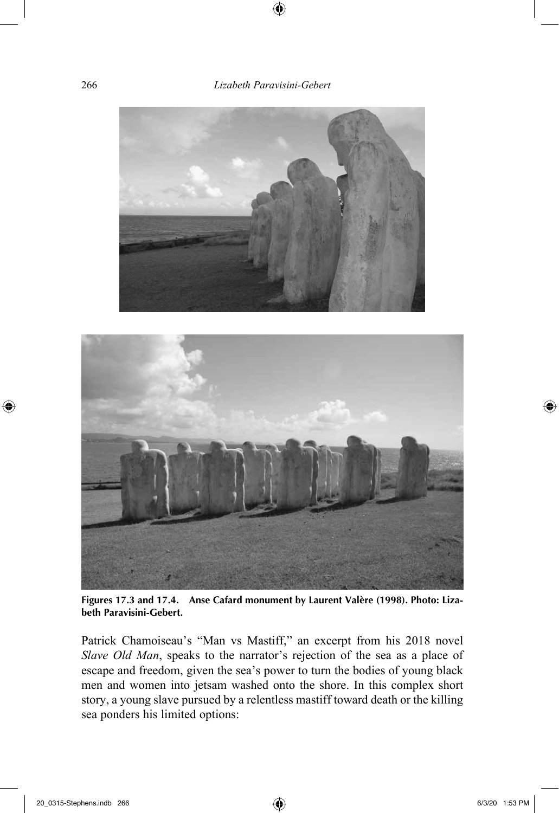266 *Lizabeth Paravisini-Gebert*

⊕





**Figures 17.3 and 17.4. Anse Cafard monument by Laurent Valère (1998). Photo: Lizabeth Paravisini-Gebert.**

Patrick Chamoiseau's "Man vs Mastiff," an excerpt from his 2018 novel *Slave Old Man*, speaks to the narrator's rejection of the sea as a place of escape and freedom, given the sea's power to turn the bodies of young black men and women into jetsam washed onto the shore. In this complex short story, a young slave pursued by a relentless mastiff toward death or the killing sea ponders his limited options:

⊕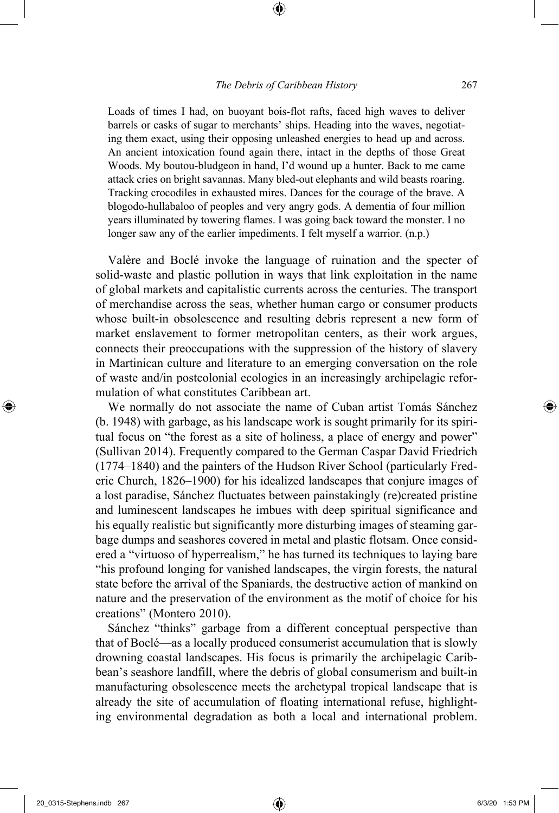#### *The Debris of Caribbean History* 267

⊕

Loads of times I had, on buoyant bois-flot rafts, faced high waves to deliver barrels or casks of sugar to merchants' ships. Heading into the waves, negotiating them exact, using their opposing unleashed energies to head up and across. An ancient intoxication found again there, intact in the depths of those Great Woods. My boutou-bludgeon in hand, I'd wound up a hunter. Back to me came attack cries on bright savannas. Many bled-out elephants and wild beasts roaring. Tracking crocodiles in exhausted mires. Dances for the courage of the brave. A blogodo-hullabaloo of peoples and very angry gods. A dementia of four million years illuminated by towering flames. I was going back toward the monster. I no longer saw any of the earlier impediments. I felt myself a warrior. (n.p.)

Valère and Boclé invoke the language of ruination and the specter of solid-waste and plastic pollution in ways that link exploitation in the name of global markets and capitalistic currents across the centuries. The transport of merchandise across the seas, whether human cargo or consumer products whose built-in obsolescence and resulting debris represent a new form of market enslavement to former metropolitan centers, as their work argues, connects their preoccupations with the suppression of the history of slavery in Martinican culture and literature to an emerging conversation on the role of waste and/in postcolonial ecologies in an increasingly archipelagic reformulation of what constitutes Caribbean art.

We normally do not associate the name of Cuban artist Tomás Sánchez (b. 1948) with garbage, as his landscape work is sought primarily for its spiritual focus on "the forest as a site of holiness, a place of energy and power" (Sullivan 2014). Frequently compared to the German Caspar David Friedrich (1774–1840) and the painters of the Hudson River School (particularly Frederic Church, 1826–1900) for his idealized landscapes that conjure images of a lost paradise, Sánchez fluctuates between painstakingly (re)created pristine and luminescent landscapes he imbues with deep spiritual significance and his equally realistic but significantly more disturbing images of steaming garbage dumps and seashores covered in metal and plastic flotsam. Once considered a "virtuoso of hyperrealism," he has turned its techniques to laying bare "his profound longing for vanished landscapes, the virgin forests, the natural state before the arrival of the Spaniards, the destructive action of mankind on nature and the preservation of the environment as the motif of choice for his creations" (Montero 2010).

Sánchez "thinks" garbage from a different conceptual perspective than that of Boclé—as a locally produced consumerist accumulation that is slowly drowning coastal landscapes. His focus is primarily the archipelagic Caribbean's seashore landfill, where the debris of global consumerism and built-in manufacturing obsolescence meets the archetypal tropical landscape that is already the site of accumulation of floating international refuse, highlighting environmental degradation as both a local and international problem.

⊕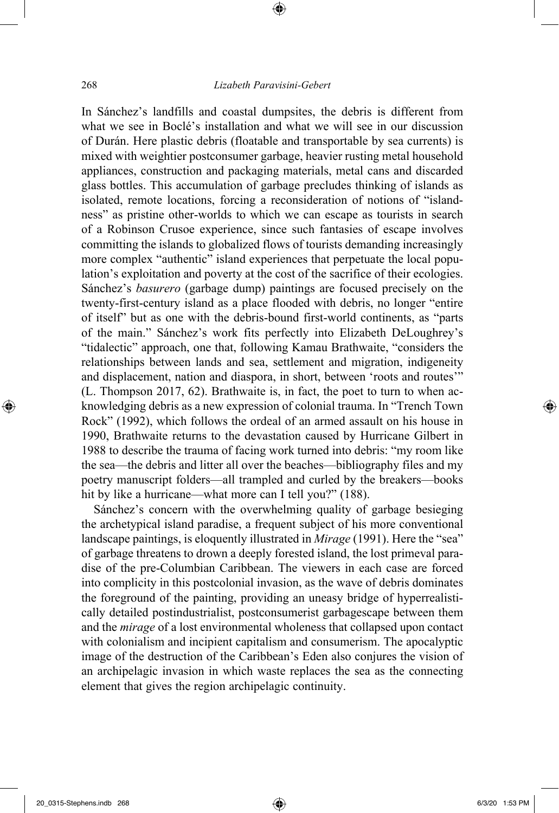In Sánchez's landfills and coastal dumpsites, the debris is different from what we see in Boclé's installation and what we will see in our discussion of Durán. Here plastic debris (floatable and transportable by sea currents) is mixed with weightier postconsumer garbage, heavier rusting metal household appliances, construction and packaging materials, metal cans and discarded glass bottles. This accumulation of garbage precludes thinking of islands as isolated, remote locations, forcing a reconsideration of notions of "islandness" as pristine other-worlds to which we can escape as tourists in search of a Robinson Crusoe experience, since such fantasies of escape involves committing the islands to globalized flows of tourists demanding increasingly more complex "authentic" island experiences that perpetuate the local population's exploitation and poverty at the cost of the sacrifice of their ecologies. Sánchez's *basurero* (garbage dump) paintings are focused precisely on the twenty-first-century island as a place flooded with debris, no longer "entire of itself" but as one with the debris-bound first-world continents, as "parts of the main." Sánchez's work fits perfectly into Elizabeth DeLoughrey's "tidalectic" approach, one that, following Kamau Brathwaite, "considers the relationships between lands and sea, settlement and migration, indigeneity and displacement, nation and diaspora, in short, between 'roots and routes'" (L. Thompson 2017, 62). Brathwaite is, in fact, the poet to turn to when acknowledging debris as a new expression of colonial trauma. In "Trench Town Rock" (1992), which follows the ordeal of an armed assault on his house in 1990, Brathwaite returns to the devastation caused by Hurricane Gilbert in 1988 to describe the trauma of facing work turned into debris: "my room like the sea—the debris and litter all over the beaches—bibliography files and my poetry manuscript folders—all trampled and curled by the breakers—books hit by like a hurricane—what more can I tell you?" (188).

Sánchez's concern with the overwhelming quality of garbage besieging the archetypical island paradise, a frequent subject of his more conventional landscape paintings, is eloquently illustrated in *Mirage* (1991). Here the "sea" of garbage threatens to drown a deeply forested island, the lost primeval paradise of the pre-Columbian Caribbean. The viewers in each case are forced into complicity in this postcolonial invasion, as the wave of debris dominates the foreground of the painting, providing an uneasy bridge of hyperrealistically detailed postindustrialist, postconsumerist garbagescape between them and the *mirage* of a lost environmental wholeness that collapsed upon contact with colonialism and incipient capitalism and consumerism. The apocalyptic image of the destruction of the Caribbean's Eden also conjures the vision of an archipelagic invasion in which waste replaces the sea as the connecting element that gives the region archipelagic continuity.

⊕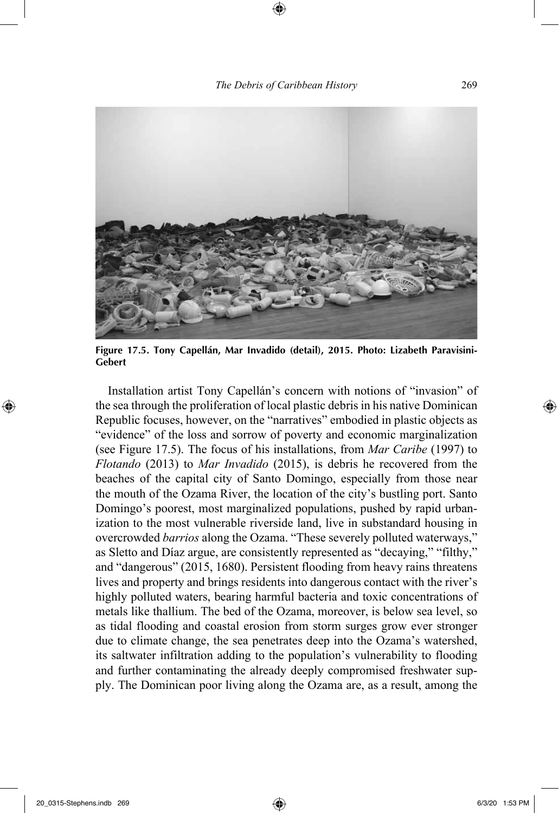

**Figure 17.5. Tony Capellán, Mar Invadido (detail), 2015. Photo: Lizabeth Paravisini-Gebert**

Installation artist Tony Capellán's concern with notions of "invasion" of the sea through the proliferation of local plastic debris in his native Dominican Republic focuses, however, on the "narratives" embodied in plastic objects as "evidence" of the loss and sorrow of poverty and economic marginalization (see Figure 17.5). The focus of his installations, from *Mar Caribe* (1997) to *Flotando* (2013) to *Mar Invadido* (2015), is debris he recovered from the beaches of the capital city of Santo Domingo, especially from those near the mouth of the Ozama River, the location of the city's bustling port. Santo Domingo's poorest, most marginalized populations, pushed by rapid urbanization to the most vulnerable riverside land, live in substandard housing in overcrowded *barrios* along the Ozama. "These severely polluted waterways," as Sletto and Díaz argue, are consistently represented as "decaying," "filthy," and "dangerous" (2015, 1680). Persistent flooding from heavy rains threatens lives and property and brings residents into dangerous contact with the river's highly polluted waters, bearing harmful bacteria and toxic concentrations of metals like thallium. The bed of the Ozama, moreover, is below sea level, so as tidal flooding and coastal erosion from storm surges grow ever stronger due to climate change, the sea penetrates deep into the Ozama's watershed, its saltwater infiltration adding to the population's vulnerability to flooding and further contaminating the already deeply compromised freshwater supply. The Dominican poor living along the Ozama are, as a result, among the

⊕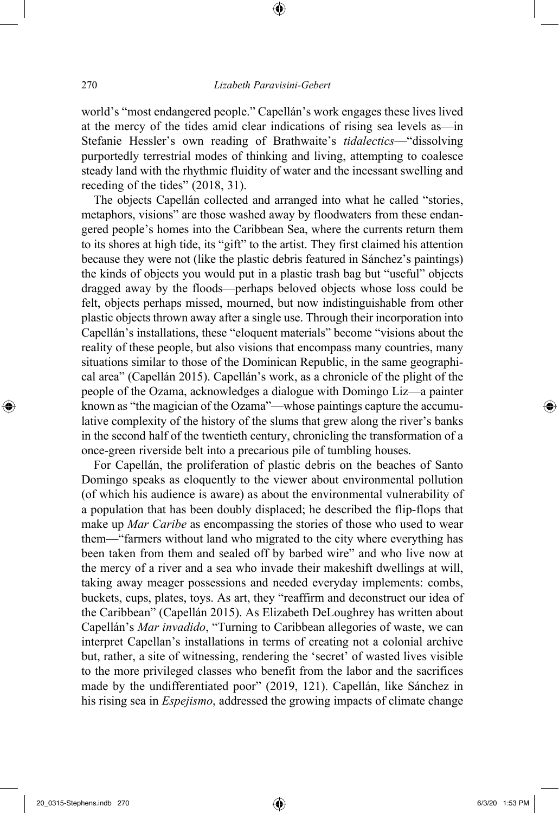world's "most endangered people." Capellán's work engages these lives lived at the mercy of the tides amid clear indications of rising sea levels as—in Stefanie Hessler's own reading of Brathwaite's *tidalectics*—"dissolving purportedly terrestrial modes of thinking and living, attempting to coalesce steady land with the rhythmic fluidity of water and the incessant swelling and receding of the tides" (2018, 31).

The objects Capellán collected and arranged into what he called "stories, metaphors, visions" are those washed away by floodwaters from these endangered people's homes into the Caribbean Sea, where the currents return them to its shores at high tide, its "gift" to the artist. They first claimed his attention because they were not (like the plastic debris featured in Sánchez's paintings) the kinds of objects you would put in a plastic trash bag but "useful" objects dragged away by the floods—perhaps beloved objects whose loss could be felt, objects perhaps missed, mourned, but now indistinguishable from other plastic objects thrown away after a single use. Through their incorporation into Capellán's installations, these "eloquent materials" become "visions about the reality of these people, but also visions that encompass many countries, many situations similar to those of the Dominican Republic, in the same geographical area" (Capellán 2015). Capellán's work, as a chronicle of the plight of the people of the Ozama, acknowledges a dialogue with Domingo Liz—a painter known as "the magician of the Ozama"—whose paintings capture the accumulative complexity of the history of the slums that grew along the river's banks in the second half of the twentieth century, chronicling the transformation of a once-green riverside belt into a precarious pile of tumbling houses.

For Capellán, the proliferation of plastic debris on the beaches of Santo Domingo speaks as eloquently to the viewer about environmental pollution (of which his audience is aware) as about the environmental vulnerability of a population that has been doubly displaced; he described the flip-flops that make up *Mar Caribe* as encompassing the stories of those who used to wear them—"farmers without land who migrated to the city where everything has been taken from them and sealed off by barbed wire" and who live now at the mercy of a river and a sea who invade their makeshift dwellings at will, taking away meager possessions and needed everyday implements: combs, buckets, cups, plates, toys. As art, they "reaffirm and deconstruct our idea of the Caribbean" (Capellán 2015). As Elizabeth DeLoughrey has written about Capellán's *Mar invadido*, "Turning to Caribbean allegories of waste, we can interpret Capellan's installations in terms of creating not a colonial archive but, rather, a site of witnessing, rendering the 'secret' of wasted lives visible to the more privileged classes who benefit from the labor and the sacrifices made by the undifferentiated poor" (2019, 121). Capellán, like Sánchez in his rising sea in *Espejismo*, addressed the growing impacts of climate change

⊕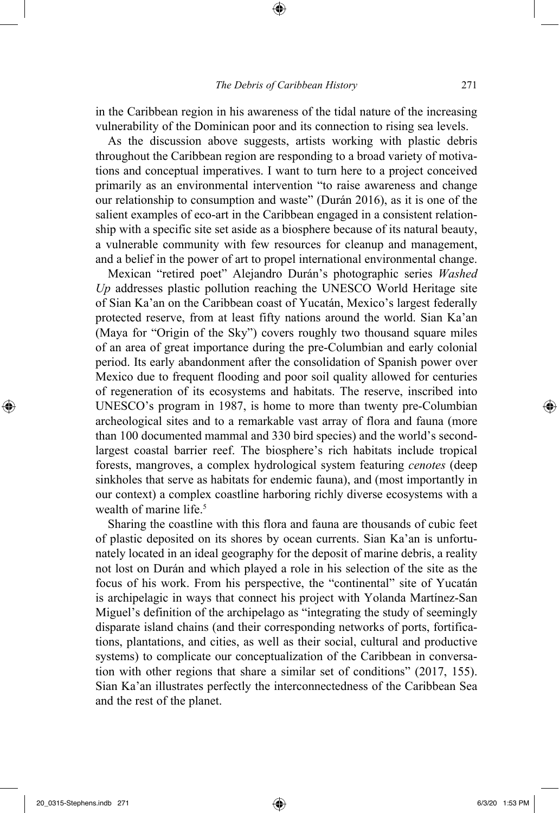in the Caribbean region in his awareness of the tidal nature of the increasing vulnerability of the Dominican poor and its connection to rising sea levels.

As the discussion above suggests, artists working with plastic debris throughout the Caribbean region are responding to a broad variety of motivations and conceptual imperatives. I want to turn here to a project conceived primarily as an environmental intervention "to raise awareness and change our relationship to consumption and waste" (Durán 2016), as it is one of the salient examples of eco-art in the Caribbean engaged in a consistent relationship with a specific site set aside as a biosphere because of its natural beauty, a vulnerable community with few resources for cleanup and management, and a belief in the power of art to propel international environmental change.

Mexican "retired poet" Alejandro Durán's photographic series *Washed Up* addresses plastic pollution reaching the UNESCO World Heritage site of Sian Ka'an on the Caribbean coast of Yucatán, Mexico's largest federally protected reserve, from at least fifty nations around the world. Sian Ka'an (Maya for "Origin of the Sky") covers roughly two thousand square miles of an area of great importance during the pre-Columbian and early colonial period. Its early abandonment after the consolidation of Spanish power over Mexico due to frequent flooding and poor soil quality allowed for centuries of regeneration of its ecosystems and habitats. The reserve, inscribed into UNESCO's program in 1987, is home to more than twenty pre-Columbian archeological sites and to a remarkable vast array of flora and fauna (more than 100 documented mammal and 330 bird species) and the world's secondlargest coastal barrier reef. The biosphere's rich habitats include tropical forests, mangroves, a complex hydrological system featuring *cenotes* (deep sinkholes that serve as habitats for endemic fauna), and (most importantly in our context) a complex coastline harboring richly diverse ecosystems with a wealth of marine life.<sup>5</sup>

Sharing the coastline with this flora and fauna are thousands of cubic feet of plastic deposited on its shores by ocean currents. Sian Ka'an is unfortunately located in an ideal geography for the deposit of marine debris, a reality not lost on Durán and which played a role in his selection of the site as the focus of his work. From his perspective, the "continental" site of Yucatán is archipelagic in ways that connect his project with Yolanda Martínez-San Miguel's definition of the archipelago as "integrating the study of seemingly disparate island chains (and their corresponding networks of ports, fortifications, plantations, and cities, as well as their social, cultural and productive systems) to complicate our conceptualization of the Caribbean in conversation with other regions that share a similar set of conditions" (2017, 155). Sian Ka'an illustrates perfectly the interconnectedness of the Caribbean Sea and the rest of the planet.

⊕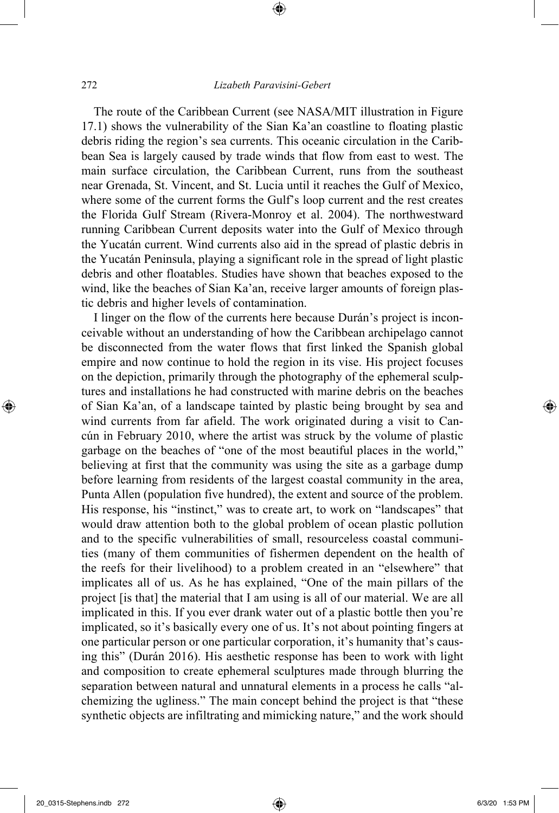The route of the Caribbean Current (see NASA/MIT illustration in Figure 17.1) shows the vulnerability of the Sian Ka'an coastline to floating plastic debris riding the region's sea currents. This oceanic circulation in the Caribbean Sea is largely caused by trade winds that flow from east to west. The main surface circulation, the Caribbean Current, runs from the southeast near Grenada, St. Vincent, and St. Lucia until it reaches the Gulf of Mexico, where some of the current forms the Gulf's loop current and the rest creates the Florida Gulf Stream (Rivera-Monroy et al. 2004). The northwestward running Caribbean Current deposits water into the Gulf of Mexico through the Yucatán current. Wind currents also aid in the spread of plastic debris in the Yucatán Peninsula, playing a significant role in the spread of light plastic debris and other floatables. Studies have shown that beaches exposed to the wind, like the beaches of Sian Ka'an, receive larger amounts of foreign plastic debris and higher levels of contamination.

I linger on the flow of the currents here because Durán's project is inconceivable without an understanding of how the Caribbean archipelago cannot be disconnected from the water flows that first linked the Spanish global empire and now continue to hold the region in its vise. His project focuses on the depiction, primarily through the photography of the ephemeral sculptures and installations he had constructed with marine debris on the beaches of Sian Ka'an, of a landscape tainted by plastic being brought by sea and wind currents from far afield. The work originated during a visit to Cancún in February 2010, where the artist was struck by the volume of plastic garbage on the beaches of "one of the most beautiful places in the world," believing at first that the community was using the site as a garbage dump before learning from residents of the largest coastal community in the area, Punta Allen (population five hundred), the extent and source of the problem. His response, his "instinct," was to create art, to work on "landscapes" that would draw attention both to the global problem of ocean plastic pollution and to the specific vulnerabilities of small, resourceless coastal communities (many of them communities of fishermen dependent on the health of the reefs for their livelihood) to a problem created in an "elsewhere" that implicates all of us. As he has explained, "One of the main pillars of the project [is that] the material that I am using is all of our material. We are all implicated in this. If you ever drank water out of a plastic bottle then you're implicated, so it's basically every one of us. It's not about pointing fingers at one particular person or one particular corporation, it's humanity that's causing this" (Durán 2016). His aesthetic response has been to work with light and composition to create ephemeral sculptures made through blurring the separation between natural and unnatural elements in a process he calls "alchemizing the ugliness." The main concept behind the project is that "these synthetic objects are infiltrating and mimicking nature," and the work should

⊕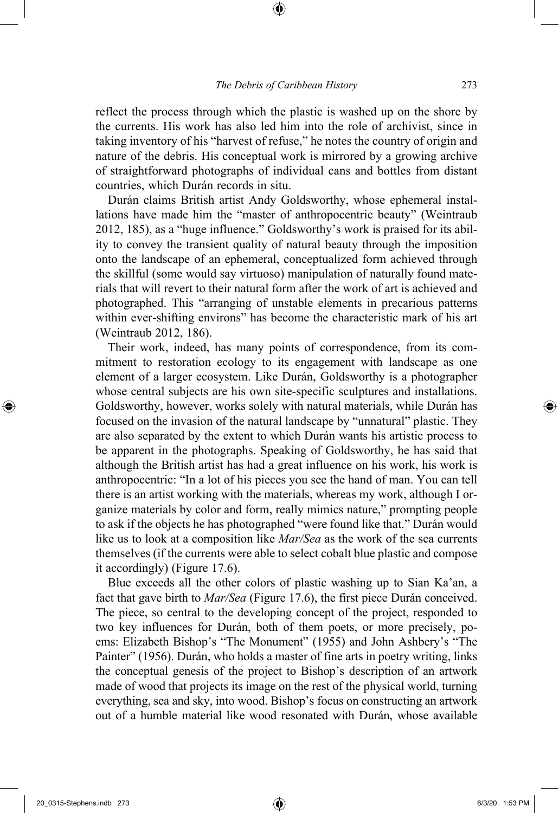reflect the process through which the plastic is washed up on the shore by the currents. His work has also led him into the role of archivist, since in taking inventory of his "harvest of refuse," he notes the country of origin and nature of the debris. His conceptual work is mirrored by a growing archive of straightforward photographs of individual cans and bottles from distant countries, which Durán records in situ.

Durán claims British artist Andy Goldsworthy, whose ephemeral installations have made him the "master of anthropocentric beauty" (Weintraub 2012, 185), as a "huge influence." Goldsworthy's work is praised for its ability to convey the transient quality of natural beauty through the imposition onto the landscape of an ephemeral, conceptualized form achieved through the skillful (some would say virtuoso) manipulation of naturally found materials that will revert to their natural form after the work of art is achieved and photographed. This "arranging of unstable elements in precarious patterns within ever-shifting environs" has become the characteristic mark of his art (Weintraub 2012, 186).

Their work, indeed, has many points of correspondence, from its commitment to restoration ecology to its engagement with landscape as one element of a larger ecosystem. Like Durán, Goldsworthy is a photographer whose central subjects are his own site-specific sculptures and installations. Goldsworthy, however, works solely with natural materials, while Durán has focused on the invasion of the natural landscape by "unnatural" plastic. They are also separated by the extent to which Durán wants his artistic process to be apparent in the photographs. Speaking of Goldsworthy, he has said that although the British artist has had a great influence on his work, his work is anthropocentric: "In a lot of his pieces you see the hand of man. You can tell there is an artist working with the materials, whereas my work, although I organize materials by color and form, really mimics nature," prompting people to ask if the objects he has photographed "were found like that." Durán would like us to look at a composition like *Mar/Sea* as the work of the sea currents themselves (if the currents were able to select cobalt blue plastic and compose it accordingly) (Figure 17.6).

Blue exceeds all the other colors of plastic washing up to Sian Ka'an, a fact that gave birth to *Mar/Sea* (Figure 17.6), the first piece Durán conceived. The piece, so central to the developing concept of the project, responded to two key influences for Durán, both of them poets, or more precisely, poems: Elizabeth Bishop's "The Monument" (1955) and John Ashbery's "The Painter" (1956). Durán, who holds a master of fine arts in poetry writing, links the conceptual genesis of the project to Bishop's description of an artwork made of wood that projects its image on the rest of the physical world, turning everything, sea and sky, into wood. Bishop's focus on constructing an artwork out of a humble material like wood resonated with Durán, whose available

⊕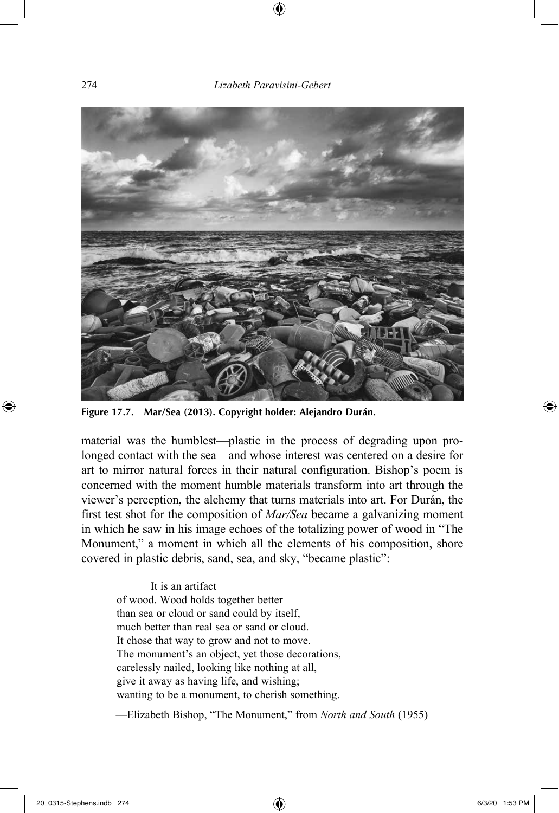274 *Lizabeth Paravisini-Gebert*



**Figure 17.7. Mar/Sea (2013). Copyright holder: Alejandro Durán.**

material was the humblest—plastic in the process of degrading upon prolonged contact with the sea—and whose interest was centered on a desire for art to mirror natural forces in their natural configuration. Bishop's poem is concerned with the moment humble materials transform into art through the viewer's perception, the alchemy that turns materials into art. For Durán, the first test shot for the composition of *Mar/Sea* became a galvanizing moment in which he saw in his image echoes of the totalizing power of wood in "The Monument," a moment in which all the elements of his composition, shore covered in plastic debris, sand, sea, and sky, "became plastic":

 It is an artifact of wood. Wood holds together better than sea or cloud or sand could by itself, much better than real sea or sand or cloud. It chose that way to grow and not to move. The monument's an object, yet those decorations, carelessly nailed, looking like nothing at all, give it away as having life, and wishing; wanting to be a monument, to cherish something.

—Elizabeth Bishop, "The Monument," from *North and South* (1955)

⊕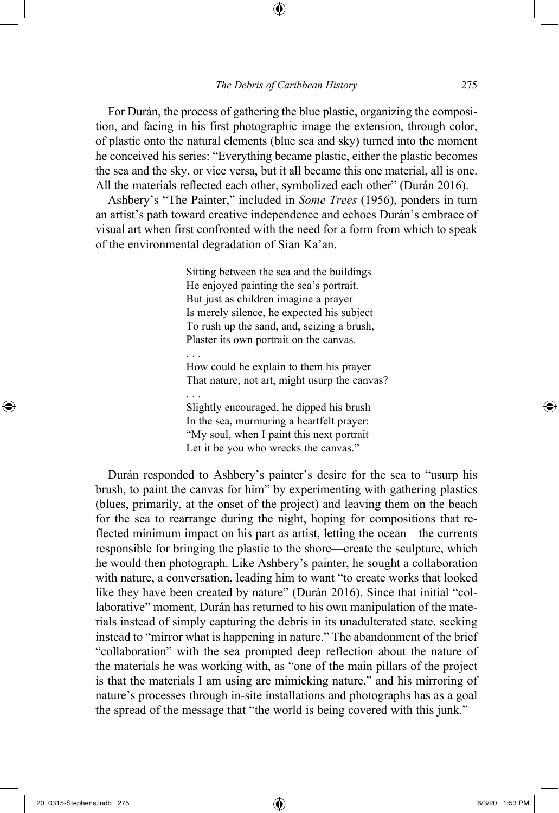#### *The Debris of Caribbean History* 275

⊕

For Durán, the process of gathering the blue plastic, organizing the composition, and facing in his first photographic image the extension, through color, of plastic onto the natural elements (blue sea and sky) turned into the moment he conceived his series: "Everything became plastic, either the plastic becomes the sea and the sky, or vice versa, but it all became this one material, all is one. All the materials reflected each other, symbolized each other" (Durán 2016).

Ashbery's "The Painter," included in *Some Trees* (1956), ponders in turn an artist's path toward creative independence and echoes Durán's embrace of visual art when first confronted with the need for a form from which to speak of the environmental degradation of Sian Ka'an.

> Sitting between the sea and the buildings He enjoyed painting the sea's portrait. But just as children imagine a prayer Is merely silence, he expected his subject To rush up the sand, and, seizing a brush, Plaster its own portrait on the canvas.

How could he explain to them his prayer That nature, not art, might usurp the canvas?

. . .

. . . Slightly encouraged, he dipped his brush In the sea, murmuring a heartfelt prayer: "My soul, when I paint this next portrait Let it be you who wrecks the canvas."

Durán responded to Ashbery's painter's desire for the sea to "usurp his brush, to paint the canvas for him" by experimenting with gathering plastics (blues, primarily, at the onset of the project) and leaving them on the beach for the sea to rearrange during the night, hoping for compositions that reflected minimum impact on his part as artist, letting the ocean—the currents responsible for bringing the plastic to the shore—create the sculpture, which he would then photograph. Like Ashbery's painter, he sought a collaboration with nature, a conversation, leading him to want "to create works that looked like they have been created by nature" (Durán 2016). Since that initial "collaborative" moment, Durán has returned to his own manipulation of the materials instead of simply capturing the debris in its unadulterated state, seeking instead to "mirror what is happening in nature." The abandonment of the brief "collaboration" with the sea prompted deep reflection about the nature of the materials he was working with, as "one of the main pillars of the project is that the materials I am using are mimicking nature," and his mirroring of nature's processes through in-site installations and photographs has as a goal the spread of the message that "the world is being covered with this junk."

⊕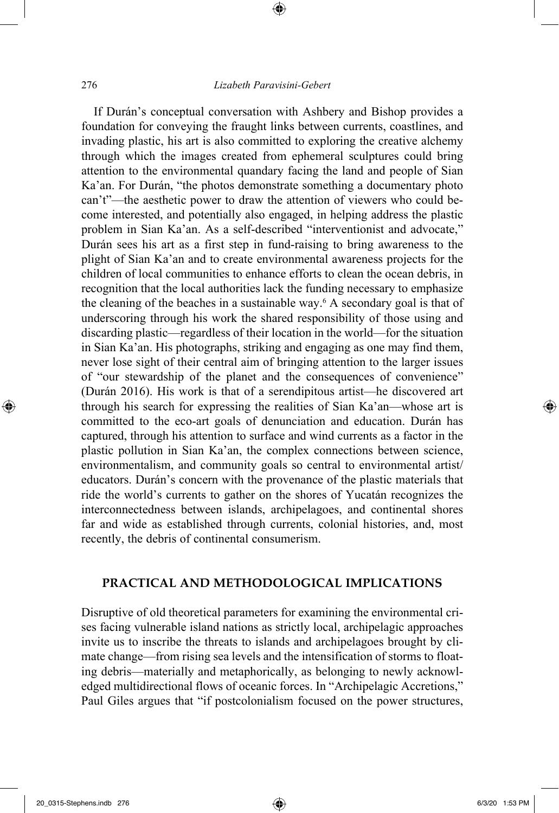276 *Lizabeth Paravisini-Gebert*

⊕

If Durán's conceptual conversation with Ashbery and Bishop provides a foundation for conveying the fraught links between currents, coastlines, and invading plastic, his art is also committed to exploring the creative alchemy through which the images created from ephemeral sculptures could bring attention to the environmental quandary facing the land and people of Sian Ka'an. For Durán, "the photos demonstrate something a documentary photo can't"—the aesthetic power to draw the attention of viewers who could become interested, and potentially also engaged, in helping address the plastic problem in Sian Ka'an. As a self-described "interventionist and advocate," Durán sees his art as a first step in fund-raising to bring awareness to the plight of Sian Ka'an and to create environmental awareness projects for the children of local communities to enhance efforts to clean the ocean debris, in recognition that the local authorities lack the funding necessary to emphasize the cleaning of the beaches in a sustainable way.<sup>6</sup> A secondary goal is that of underscoring through his work the shared responsibility of those using and discarding plastic—regardless of their location in the world—for the situation in Sian Ka'an. His photographs, striking and engaging as one may find them, never lose sight of their central aim of bringing attention to the larger issues of "our stewardship of the planet and the consequences of convenience" (Durán 2016). His work is that of a serendipitous artist—he discovered art through his search for expressing the realities of Sian Ka'an—whose art is committed to the eco-art goals of denunciation and education. Durán has captured, through his attention to surface and wind currents as a factor in the plastic pollution in Sian Ka'an, the complex connections between science, environmentalism, and community goals so central to environmental artist/ educators. Durán's concern with the provenance of the plastic materials that ride the world's currents to gather on the shores of Yucatán recognizes the interconnectedness between islands, archipelagoes, and continental shores far and wide as established through currents, colonial histories, and, most recently, the debris of continental consumerism.

# **PRACTICAL AND METHODOLOGICAL IMPLICATIONS**

Disruptive of old theoretical parameters for examining the environmental crises facing vulnerable island nations as strictly local, archipelagic approaches invite us to inscribe the threats to islands and archipelagoes brought by climate change—from rising sea levels and the intensification of storms to floating debris—materially and metaphorically, as belonging to newly acknowledged multidirectional flows of oceanic forces. In "Archipelagic Accretions," Paul Giles argues that "if postcolonialism focused on the power structures,

⊕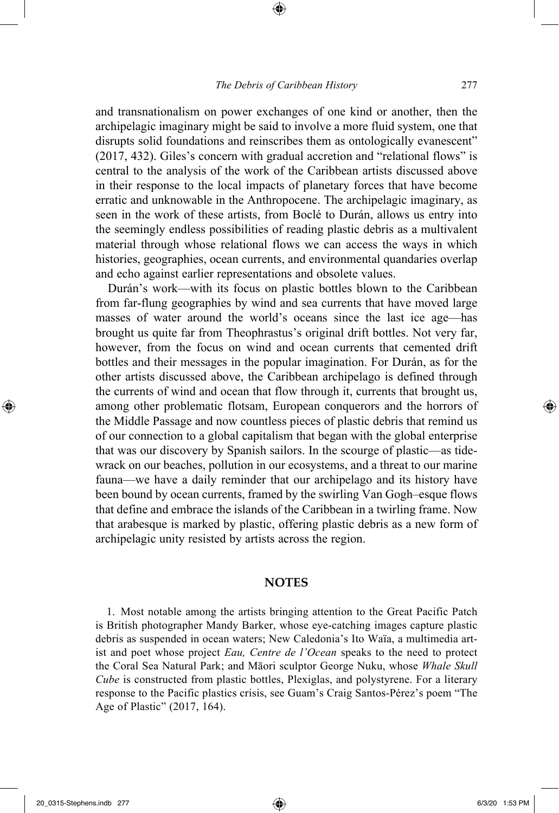#### *The Debris of Caribbean History* 277

⊕

and transnationalism on power exchanges of one kind or another, then the archipelagic imaginary might be said to involve a more fluid system, one that disrupts solid foundations and reinscribes them as ontologically evanescent" (2017, 432). Giles's concern with gradual accretion and "relational flows" is central to the analysis of the work of the Caribbean artists discussed above in their response to the local impacts of planetary forces that have become erratic and unknowable in the Anthropocene. The archipelagic imaginary, as seen in the work of these artists, from Boclé to Durán, allows us entry into the seemingly endless possibilities of reading plastic debris as a multivalent material through whose relational flows we can access the ways in which histories, geographies, ocean currents, and environmental quandaries overlap and echo against earlier representations and obsolete values.

Durán's work—with its focus on plastic bottles blown to the Caribbean from far-flung geographies by wind and sea currents that have moved large masses of water around the world's oceans since the last ice age—has brought us quite far from Theophrastus's original drift bottles. Not very far, however, from the focus on wind and ocean currents that cemented drift bottles and their messages in the popular imagination. For Durán, as for the other artists discussed above, the Caribbean archipelago is defined through the currents of wind and ocean that flow through it, currents that brought us, among other problematic flotsam, European conquerors and the horrors of the Middle Passage and now countless pieces of plastic debris that remind us of our connection to a global capitalism that began with the global enterprise that was our discovery by Spanish sailors. In the scourge of plastic—as tidewrack on our beaches, pollution in our ecosystems, and a threat to our marine fauna—we have a daily reminder that our archipelago and its history have been bound by ocean currents, framed by the swirling Van Gogh–esque flows that define and embrace the islands of the Caribbean in a twirling frame. Now that arabesque is marked by plastic, offering plastic debris as a new form of archipelagic unity resisted by artists across the region.

# **NOTES**

1. Most notable among the artists bringing attention to the Great Pacific Patch is British photographer Mandy Barker, whose eye-catching images capture plastic debris as suspended in ocean waters; New Caledonia's Ito Waïa, a multimedia artist and poet whose project *Eau, Centre de l'Ocean* speaks to the need to protect the Coral Sea Natural Park; and Māori sculptor George Nuku, whose *Whale Skull Cube* is constructed from plastic bottles, Plexiglas, and polystyrene. For a literary response to the Pacific plastics crisis, see Guam's Craig Santos-Pérez's poem "The Age of Plastic" (2017, 164).

⊕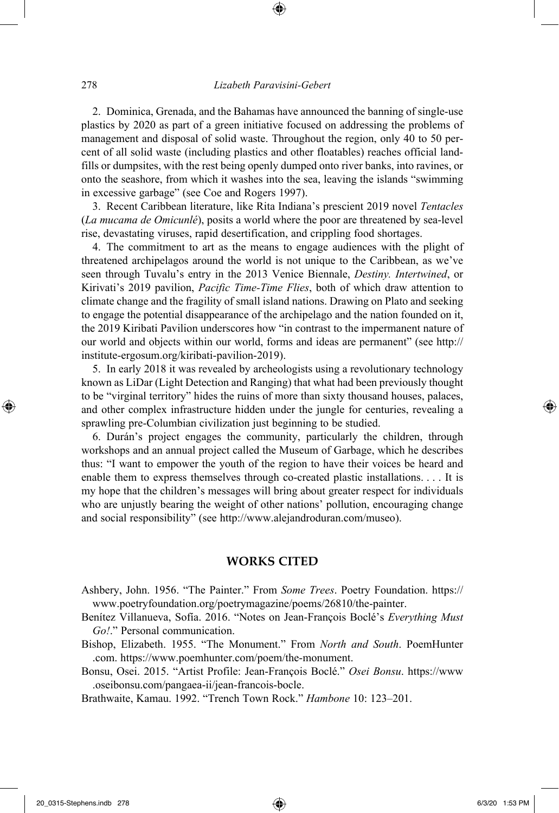2. Dominica, Grenada, and the Bahamas have announced the banning of single-use plastics by 2020 as part of a green initiative focused on addressing the problems of management and disposal of solid waste. Throughout the region, only 40 to 50 percent of all solid waste (including plastics and other floatables) reaches official landfills or dumpsites, with the rest being openly dumped onto river banks, into ravines, or onto the seashore, from which it washes into the sea, leaving the islands "swimming in excessive garbage" (see Coe and Rogers 1997).

3. Recent Caribbean literature, like Rita Indiana's prescient 2019 novel *Tentacles* (*La mucama de Omicunlé*), posits a world where the poor are threatened by sea-level rise, devastating viruses, rapid desertification, and crippling food shortages.

4. The commitment to art as the means to engage audiences with the plight of threatened archipelagos around the world is not unique to the Caribbean, as we've seen through Tuvalu's entry in the 2013 Venice Biennale, *Destiny. Intertwined*, or Kirivati's 2019 pavilion, *Pacific Time-Time Flies*, both of which draw attention to climate change and the fragility of small island nations. Drawing on Plato and seeking to engage the potential disappearance of the archipelago and the nation founded on it, the 2019 Kiribati Pavilion underscores how "in contrast to the impermanent nature of our world and objects within our world, forms and ideas are permanent" (see http:// institute-ergosum.org/kiribati-pavilion-2019).

5. In early 2018 it was revealed by archeologists using a revolutionary technology known as LiDar (Light Detection and Ranging) that what had been previously thought to be "virginal territory" hides the ruins of more than sixty thousand houses, palaces, and other complex infrastructure hidden under the jungle for centuries, revealing a sprawling pre-Columbian civilization just beginning to be studied.

6. Durán's project engages the community, particularly the children, through workshops and an annual project called the Museum of Garbage, which he describes thus: "I want to empower the youth of the region to have their voices be heard and enable them to express themselves through co-created plastic installations. . . . It is my hope that the children's messages will bring about greater respect for individuals who are unjustly bearing the weight of other nations' pollution, encouraging change and social responsibility" (see http://www.alejandroduran.com/museo).

### **WORKS CITED**

Ashbery, John. 1956. "The Painter." From *Some Trees*. Poetry Foundation. https:// www.poetryfoundation.org/poetrymagazine/poems/26810/the-painter.

- Benítez Villanueva, Sofía. 2016. "Notes on Jean-François Boclé's *Everything Must Go!*." Personal communication.
- Bishop, Elizabeth. 1955. "The Monument." From *North and South*. PoemHunter .com. https://www.poemhunter.com/poem/the-monument.
- Bonsu, Osei. 2015. "Artist Profile: Jean-François Boclé." *Osei Bonsu*. https://www .oseibonsu.com/pangaea-ii/jean-francois-bocle.

Brathwaite, Kamau. 1992. "Trench Town Rock." *Hambone* 10: 123–201.

 $\bigoplus$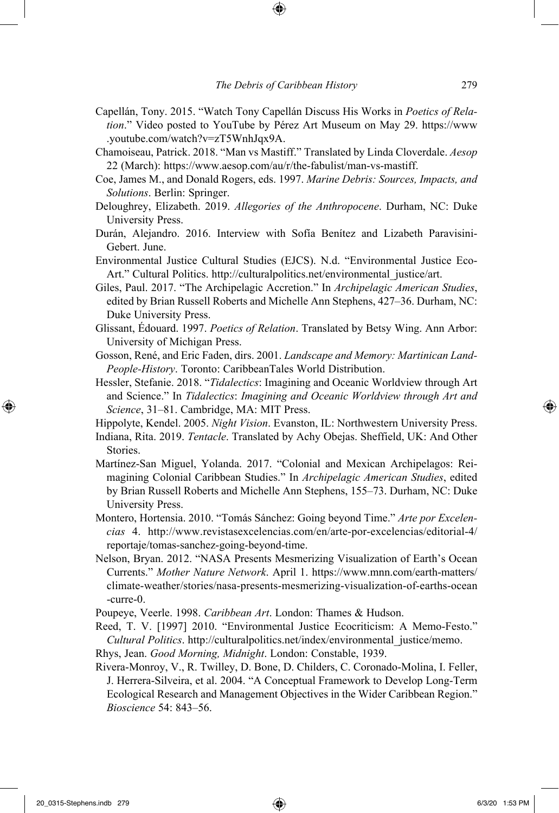- Capellán, Tony. 2015. "Watch Tony Capellán Discuss His Works in *Poetics of Relation*." Video posted to YouTube by Pérez Art Museum on May 29. https://www .youtube.com/watch?v=zT5WnhJqx9A.
- Chamoiseau, Patrick. 2018. "Man vs Mastiff." Translated by Linda Cloverdale. *Aesop* 22 (March): https://www.aesop.com/au/r/the-fabulist/man-vs-mastiff.
- Coe, James M., and Donald Rogers, eds. 1997. *Marine Debris: Sources, Impacts, and Solutions*. Berlin: Springer.
- Deloughrey, Elizabeth. 2019. *Allegories of the Anthropocene*. Durham, NC: Duke University Press.
- Durán, Alejandro. 2016. Interview with Sofía Benítez and Lizabeth Paravisini-Gebert. June.
- Environmental Justice Cultural Studies (EJCS). N.d. "Environmental Justice Eco-Art." Cultural Politics. http://culturalpolitics.net/environmental\_justice/art.
- Giles, Paul. 2017. "The Archipelagic Accretion." In *Archipelagic American Studies*, edited by Brian Russell Roberts and Michelle Ann Stephens, 427–36. Durham, NC: Duke University Press.
- Glissant, Édouard. 1997. *Poetics of Relation*. Translated by Betsy Wing. Ann Arbor: University of Michigan Press.
- Gosson, René, and Eric Faden, dirs. 2001. *Landscape and Memory: Martinican Land-People-History*. Toronto: CaribbeanTales World Distribution.
- Hessler, Stefanie. 2018. "*Tidalectics*: Imagining and Oceanic Worldview through Art and Science." In *Tidalectics*: *Imagining and Oceanic Worldview through Art and Science*, 31–81. Cambridge, MA: MIT Press.
- Hippolyte, Kendel. 2005. *Night Vision*. Evanston, IL: Northwestern University Press.
- Indiana, Rita. 2019. *Tentacle*. Translated by Achy Obejas. Sheffield, UK: And Other Stories.
- Martínez-San Miguel, Yolanda. 2017. "Colonial and Mexican Archipelagos: Reimagining Colonial Caribbean Studies." In *Archipelagic American Studies*, edited by Brian Russell Roberts and Michelle Ann Stephens, 155–73. Durham, NC: Duke University Press.
- Montero, Hortensia. 2010. "Tomás Sánchez: Going beyond Time." *Arte por Excelencias* 4. http://www.revistasexcelencias.com/en/arte-por-excelencias/editorial-4/ reportaje/tomas-sanchez-going-beyond-time.
- Nelson, Bryan. 2012. "NASA Presents Mesmerizing Visualization of Earth's Ocean Currents." *Mother Nature Network*. April 1. https://www.mnn.com/earth-matters/ climate-weather/stories/nasa-presents-mesmerizing-visualization-of-earths-ocean -curre-0.

Poupeye, Veerle. 1998. *Caribbean Art*. London: Thames & Hudson.

Reed, T. V. [1997] 2010. "Environmental Justice Ecocriticism: A Memo-Festo." *Cultural Politics*. http://culturalpolitics.net/index/environmental\_justice/memo.

Rhys, Jean. *Good Morning, Midnight*. London: Constable, 1939.

Rivera-Monroy, V., R. Twilley, D. Bone, D. Childers, C. Coronado-Molina, I. Feller, J. Herrera-Silveira, et al. 2004. "A Conceptual Framework to Develop Long-Term Ecological Research and Management Objectives in the Wider Caribbean Region." *Bioscience* 54: 843–56.

⊕